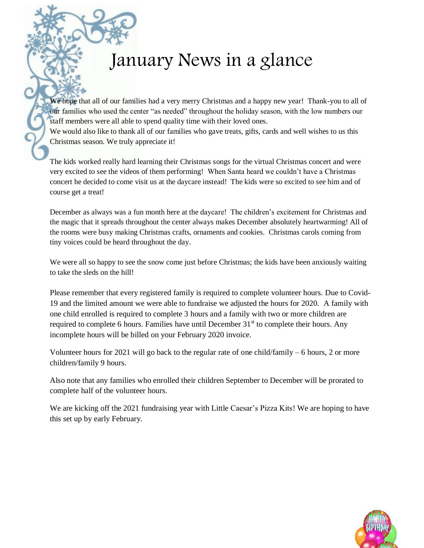## January News in a glance

We hope that all of our families had a very merry Christmas and a happy new year! Thank-you to all of our families who used the center "as needed" throughout the holiday season, with the low numbers our staff members were all able to spend quality time with their loved ones.

We would also like to thank all of our families who gave treats, gifts, cards and well wishes to us this Christmas season. We truly appreciate it!

The kids worked really hard learning their Christmas songs for the virtual Christmas concert and were very excited to see the videos of them performing! When Santa heard we couldn't have a Christmas concert he decided to come visit us at the daycare instead! The kids were so excited to see him and of course get a treat!

December as always was a fun month here at the daycare! The children's excitement for Christmas and the magic that it spreads throughout the center always makes December absolutely heartwarming! All of the rooms were busy making Christmas crafts, ornaments and cookies. Christmas carols coming from tiny voices could be heard throughout the day.

We were all so happy to see the snow come just before Christmas; the kids have been anxiously waiting to take the sleds on the hill!

Please remember that every registered family is required to complete volunteer hours. Due to Covid-19 and the limited amount we were able to fundraise we adjusted the hours for 2020. A family with one child enrolled is required to complete 3 hours and a family with two or more children are required to complete 6 hours. Families have until December  $31<sup>st</sup>$  to complete their hours. Any incomplete hours will be billed on your February 2020 invoice.

Volunteer hours for 2021 will go back to the regular rate of one child/family – 6 hours, 2 or more children/family 9 hours.

Also note that any families who enrolled their children September to December will be prorated to complete half of the volunteer hours.

We are kicking off the 2021 fundraising year with Little Caesar's Pizza Kits! We are hoping to have this set up by early February.